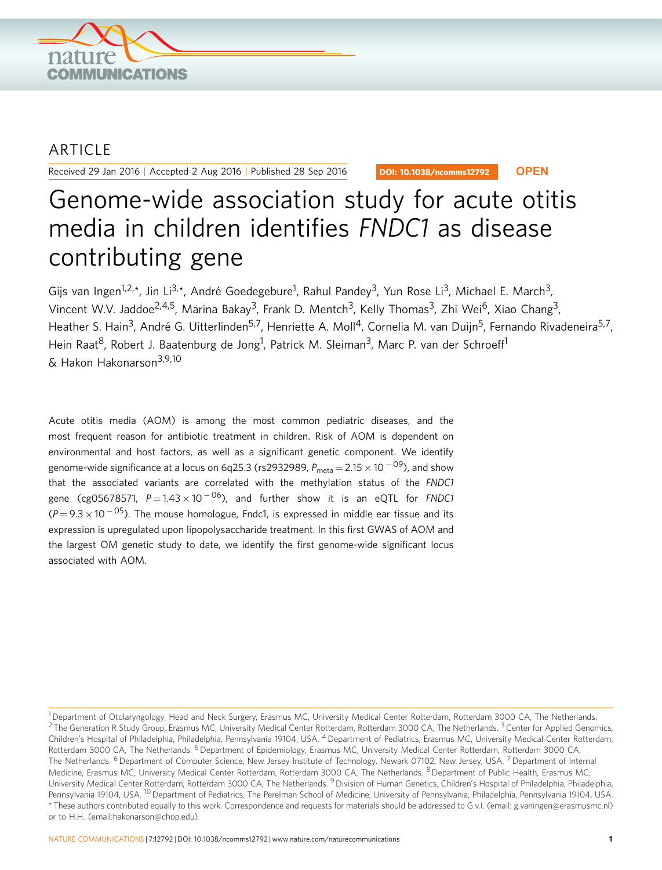

## ARTICLE

Received 29 Jan 2016 | Accepted 2 Aug 2016 | Published 28 Sep 2016

DOI: 10.1038/ncomms12792 **OPEN**

# Genome-wide association study for acute otitis media in children identifies FNDC1 as disease contributing gene

Gijs van Ingen<sup>1,2,\*</sup>, Jin Li<sup>3,\*</sup>, André Goedegebure<sup>1</sup>, Rahul Pandey<sup>3</sup>, Yun Rose Li<sup>3</sup>, Michael E. March<sup>3</sup>, Vincent W.V. Jaddoe<sup>2,4,5</sup>, Marina Bakay<sup>3</sup>, Frank D. Mentch<sup>3</sup>, Kelly Thomas<sup>3</sup>, Zhi Wei<sup>6</sup>, Xiao Chang<sup>3</sup>, Heather S. Hain<sup>3</sup>, André G. Uitterlinden<sup>5,7</sup>, Henriette A. Moll<sup>4</sup>, Cornelia M. van Duijn<sup>5</sup>, Fernando Rivadeneira<sup>5,7</sup>, Hein Raat<sup>8</sup>, Robert J. Baatenburg de Jong<sup>1</sup>, Patrick M. Sleiman<sup>3</sup>, Marc P. van der Schroeff<sup>1</sup> & Hakon Hakonarson<sup>3,9,10</sup>

Acute otitis media (AOM) is among the most common pediatric diseases, and the most frequent reason for antibiotic treatment in children. Risk of AOM is dependent on environmental and host factors, as well as a significant genetic component. We identify genome-wide significance at a locus on 6q25.3 (rs2932989,  $P_{\sf meta}$   $=$  2.15  $\times$  10  $^{-$  09), and show that the associated variants are correlated with the methylation status of the FNDC1 gene (cg05678571,  $P\!=\!1.43\times10^{-06}$ ), and further show it is an eQTL for FNDC1 (P = 9.3  $\times$  10  $^{-05}$ ). The mouse homologue, Fndc1, is expressed in middle ear tissue and its expression is upregulated upon lipopolysaccharide treatment. In this first GWAS of AOM and the largest OM genetic study to date, we identify the first genome-wide significant locus associated with AOM.

<sup>&</sup>lt;sup>1</sup> Department of Otolaryngology, Head and Neck Surgery, Erasmus MC, University Medical Center Rotterdam, Rotterdam 3000 CA, The Netherlands.  $2$  The Generation R Study Group, Erasmus MC, University Medical Center Rotterdam, Rotterdam 3000 CA, The Netherlands.  $3$  Center for Applied Genomics, Children's Hospital of Philadelphia, Philadelphia, Pennsylvania 19104, USA. <sup>4</sup> Department of Pediatrics, Erasmus MC, University Medical Center Rotterdam, Rotterdam 3000 CA, The Netherlands. <sup>5</sup> Department of Epidemiology, Erasmus MC, University Medical Center Rotterdam, Rotterdam 3000 CA, The Netherlands. <sup>6</sup> Department of Computer Science, New Jersey Institute of Technology, Newark 07102, New Jersey, USA. <sup>7</sup> Department of Internal Medicine, Erasmus MC, University Medical Center Rotterdam, Rotterdam 3000 CA, The Netherlands. <sup>8</sup> Department of Public Health, Erasmus MC, University Medical Center Rotterdam, Rotterdam 3000 CA, The Netherlands. <sup>9</sup> Division of Human Genetics, Children's Hospital of Philadelphia, Philadelphia, Pennsylvania 19104, USA. <sup>10</sup> Department of Pediatrics, The Perelman School of Medicine, University of Pennsylvania, Philadelphia, Pennsylvania 19104, USA. \* These authors contributed equally to this work. Correspondence and requests for materials should be addressed to G.v.I. (email: [g.vaningen@erasmusmc.nl\)](mailto:g.vaningen@erasmusmc.nl) or to H.H. (email:[hakonarson@chop.edu](mailto:hakonarson@chop.edu)).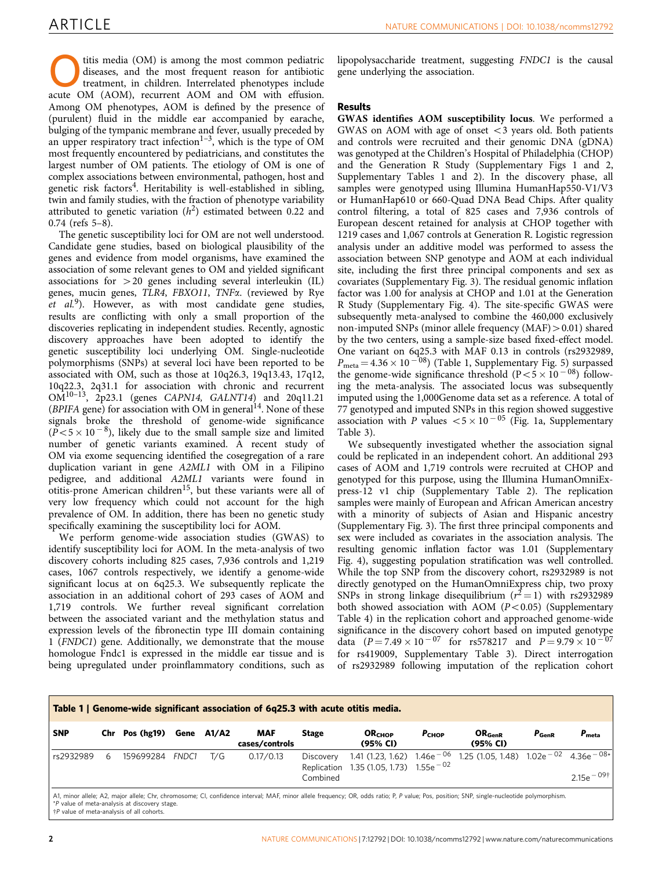<span id="page-1-0"></span>titis media (OM) is among the most common pediatric<br>diseases, and the most frequent reason for antibiotic<br>treatment, in children. Interrelated phenotypes include<br> $OM_{12}$  (AOM) recurrent AOM and OM with effusion diseases, and the most frequent reason for antibiotic acute OM (AOM), recurrent AOM and OM with effusion. Among OM phenotypes, AOM is defined by the presence of (purulent) fluid in the middle ear accompanied by earache, bulging of the tympanic membrane and fever, usually preceded by an upper respiratory tract infection<sup>1–3</sup>, which is the type of OM most frequently encountered by pediatricians, and constitutes the largest number of OM patients. The etiology of OM is one of complex associations between environmental, pathogen, host and genetic risk factors<sup>4</sup>. Heritability is well-established in sibling, twin and family studies, with the fraction of phenotype variability attributed to genetic variation  $(h^2)$  estimated between 0.22 and 0.74 ([refs 5–8](#page-5-0)).

The genetic susceptibility loci for OM are not well understood. Candidate gene studies, based on biological plausibility of the genes and evidence from model organisms, have examined the association of some relevant genes to OM and yielded significant associations for  $>$  20 genes including several interleukin (IL) genes, mucin genes, TLR4, FBXO11, TNFa. (reviewed by Rye  $et \ al.<sup>9</sup>$ ). However, as with most candidate gene studies, results are conflicting with only a small proportion of the discoveries replicating in independent studies. Recently, agnostic discovery approaches have been adopted to identify the genetic susceptibility loci underlying OM. Single-nucleotide polymorphisms (SNPs) at several loci have been reported to be associated with OM, such as those at 10q26.3, 19q13.43, 17q12, 10q22.3, 2q31.1 for association with chronic and recurrent  $OM^{10-13}$ , 2p23.1 (genes CAPN14, GALNT14) and 20q11.21 (BPIFA gene) for association with OM in general<sup>[14](#page-5-0)</sup>. None of these signals broke the threshold of genome-wide significance  $(\overline{P}$ <5 × 10<sup>-8</sup>), likely due to the small sample size and limited number of genetic variants examined. A recent study of OM via exome sequencing identified the cosegregation of a rare duplication variant in gene A2ML1 with OM in a Filipino pedigree, and additional A2ML1 variants were found in otitis-prone American children<sup>[15](#page-5-0)</sup>, but these variants were all of very low frequency which could not account for the high prevalence of OM. In addition, there has been no genetic study specifically examining the susceptibility loci for AOM.

We perform genome-wide association studies (GWAS) to identify susceptibility loci for AOM. In the meta-analysis of two discovery cohorts including 825 cases, 7,936 controls and 1,219 cases, 1067 controls respectively, we identify a genome-wide significant locus at on 6q25.3. We subsequently replicate the association in an additional cohort of 293 cases of AOM and 1,719 controls. We further reveal significant correlation between the associated variant and the methylation status and expression levels of the fibronectin type III domain containing 1 (FNDC1) gene. Additionally, we demonstrate that the mouse homologue Fndc1 is expressed in the middle ear tissue and is being upregulated under proinflammatory conditions, such as lipopolysaccharide treatment, suggesting FNDC1 is the causal gene underlying the association.

### Results

GWAS identifies AOM susceptibility locus. We performed a GWAS on AOM with age of onset  $\lt$ 3 years old. Both patients and controls were recruited and their genomic DNA (gDNA) was genotyped at the Children's Hospital of Philadelphia (CHOP) and the Generation R Study (Supplementary Figs 1 and 2, Supplementary Tables 1 and 2). In the discovery phase, all samples were genotyped using Illumina HumanHap550-V1/V3 or HumanHap610 or 660-Quad DNA Bead Chips. After quality control filtering, a total of 825 cases and 7,936 controls of European descent retained for analysis at CHOP together with 1219 cases and 1,067 controls at Generation R. Logistic regression analysis under an additive model was performed to assess the association between SNP genotype and AOM at each individual site, including the first three principal components and sex as covariates (Supplementary Fig. 3). The residual genomic inflation factor was 1.00 for analysis at CHOP and 1.01 at the Generation R Study (Supplementary Fig. 4). The site-specific GWAS were subsequently meta-analysed to combine the 460,000 exclusively non-imputed SNPs (minor allele frequency (MAF) > 0.01) shared by the two centers, using a sample-size based fixed-effect model. One variant on 6q25.3 with MAF 0.13 in controls (rs2932989,  $P_{\text{meta}} = 4.36 \times 10^{-08}$ ) (Table 1, Supplementary Fig. 5) surpassed the genome-wide significance threshold  $(P < 5 \times 10^{-08})$  following the meta-analysis. The associated locus was subsequently imputed using the 1,000Genome data set as a reference. A total of 77 genotyped and imputed SNPs in this region showed suggestive association with P values  $< 5 \times 10^{-05}$  [\(Fig. 1a,](#page-2-0) Supplementary Table 3).

We subsequently investigated whether the association signal could be replicated in an independent cohort. An additional 293 cases of AOM and 1,719 controls were recruited at CHOP and genotyped for this purpose, using the Illumina HumanOmniExpress-12 v1 chip (Supplementary Table 2). The replication samples were mainly of European and African American ancestry with a minority of subjects of Asian and Hispanic ancestry (Supplementary Fig. 3). The first three principal components and sex were included as covariates in the association analysis. The resulting genomic inflation factor was 1.01 (Supplementary Fig. 4), suggesting population stratification was well controlled. While the top SNP from the discovery cohort, rs2932989 is not directly genotyped on the HumanOmniExpress chip, two proxy SNPs in strong linkage disequilibrium ( $r^2 = 1$ ) with rs2932989 both showed association with AOM  $(P<0.05)$  (Supplementary Table 4) in the replication cohort and approached genome-wide significance in the discovery cohort based on imputed genotype data  $(P = 7.49 \times 10^{-07}$  for rs578217 and  $P = 9.79 \times 10^{-07}$ for rs419009, Supplementary Table 3). Direct interrogation of rs2932989 following imputation of the replication cohort

| <b>SNP</b><br>Chr Pos (hg19)<br><b>MAF</b><br>Gene A1/A2<br><b>Stage</b><br>OR <sub>CHOP</sub>                                                                                                                            |            |                                |            |                      |
|---------------------------------------------------------------------------------------------------------------------------------------------------------------------------------------------------------------------------|------------|--------------------------------|------------|----------------------|
| (95% CI)<br>cases/controls                                                                                                                                                                                                | $P_{CHOP}$ | OR <sub>GenR</sub><br>(95% CI) | $P_{GenR}$ | $P_{meta}$           |
| 1.41 (1.23, 1.62) $1.46e^{-06}$ 1.25 (1.05, 1.48) $1.02e^{-02}$ 4.36e <sup>-08*</sup><br>0.17/0.13<br>rs2932989<br>T/G<br>159699284<br>FNDC1<br>Discovery<br>6<br>Replication 1.35 (1.05, 1.73) $1.55e^{-02}$<br>Combined |            |                                |            | $2.15e^{-09\dagger}$ |

value of meta-analysis at discovery stage  $\uparrow$ P value of meta-analysis of all cohorts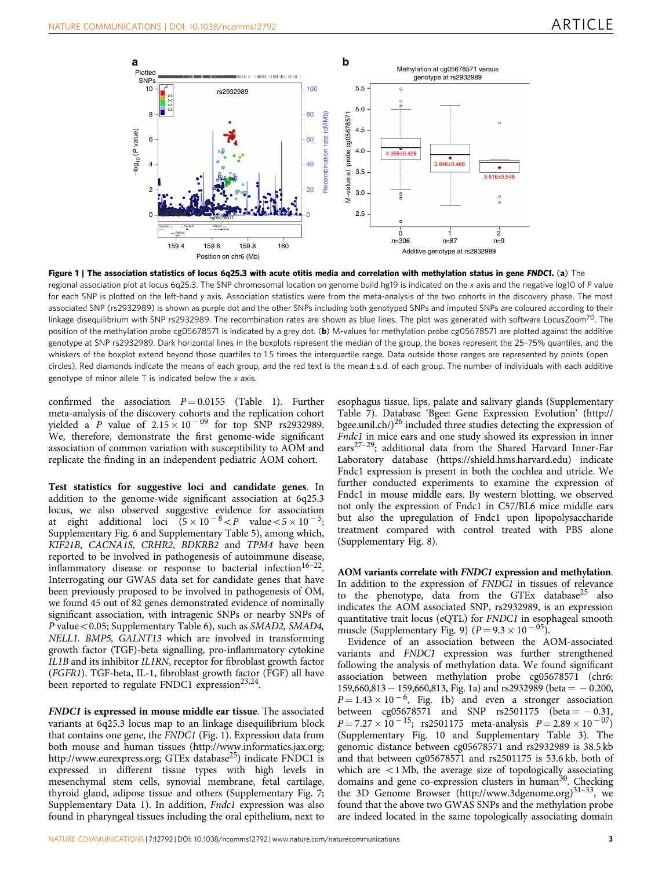<span id="page-2-0"></span>

Figure 1 | The association statistics of locus 6q25.3 with acute otitis media and correlation with methylation status in gene FNDC1. (a) The regional association plot at locus 6q25.3. The SNP chromosomal location on genome build hg19 is indicated on the x axis and the negative log10 of P value for each SNP is plotted on the left-hand y axis. Association statistics were from the meta-analysis of the two cohorts in the discovery phase. The most associated SNP (rs2932989) is shown as purple dot and the other SNPs including both genotyped SNPs and imputed SNPs are coloured according to their linkage disequilibrium with SNP rs2932989. The recombination rates are shown as blue lines. The plot was generated with software LocusZoom<sup>70</sup>. The position of the methylation probe cg05678571 is indicated by a grey dot. (b) M-values for methylation probe cg05678571 are plotted against the additive genotype at SNP rs2932989. Dark horizontal lines in the boxplots represent the median of the group, the boxes represent the 25–75% quantiles, and the whiskers of the boxplot extend beyond those quartiles to 1.5 times the interquartile range. Data outside those ranges are represented by points (open circles). Red diamonds indicate the means of each group, and the red text is the mean±s.d. of each group. The number of individuals with each additive genotype of minor allele T is indicated below the x axis.

confirmed the association  $P = 0.0155$  ([Table 1\)](#page-1-0). Further meta-analysis of the discovery cohorts and the replication cohort yielded a *P* value of  $2.15 \times 10^{-09}$  for top SNP rs2932989. We, therefore, demonstrate the first genome-wide significant association of common variation with susceptibility to AOM and replicate the finding in an independent pediatric AOM cohort.

Test statistics for suggestive loci and candidate genes. In addition to the genome-wide significant association at 6q25.3 locus, we also observed suggestive evidence for association at eight additional loci  $(5 \times 10^{-8} < P$  value $< 5 \times 10^{-5}$ ; Supplementary Fig. 6 and Supplementary Table 5), among which, KIF21B, CACNA1S, CRHR2, BDKRB2 and TPM4 have been reported to be involved in pathogenesis of autoimmune disease, inflammatory disease or response to bacterial infection<sup>16–22</sup>. Interrogating our GWAS data set for candidate genes that have been previously proposed to be involved in pathogenesis of OM, we found 45 out of 82 genes demonstrated evidence of nominally significant association, with intragenic SNPs or nearby SNPs of P value < 0.05; Supplementary Table 6), such as SMAD2, SMAD4, NELL1. BMP5, GALNT13 which are involved in transforming growth factor (TGF)-beta signalling, pro-inflammatory cytokine IL1B and its inhibitor IL1RN, receptor for fibroblast growth factor (FGFR1). TGF-beta, IL-1, fibroblast growth factor (FGF) all have been reported to regulate FNDC1 expression $^{23,24}$ .

FNDC1 is expressed in mouse middle ear tissue. The associated variants at 6q25.3 locus map to an linkage disequilibrium block that contains one gene, the FNDC1 (Fig. 1). Expression data from both mouse and human tissues ([http://www.informatics.jax.org;](http://www.informatics.jax.org) <http://www.eurexpress.org>; GTEx database<sup>25</sup>) indicate FNDC1 is expressed in different tissue types with high levels in mesenchymal stem cells, synovial membrane, fetal cartilage, thyroid gland, adipose tissue and others (Supplementary Fig. 7; Supplementary Data 1). In addition, Fndc1 expression was also found in pharyngeal tissues including the oral epithelium, next to

esophagus tissue, lips, palate and salivary glands (Supplementary Table 7). Database 'Bgee: Gene Expression Evolution' ([http://](http://bgee.unil.ch/) bgee.unil.ch/ $)^{26}$  $)^{26}$  $)^{26}$  included three studies detecting the expression of Fndc1 in mice ears and one study showed its expression in inner ears[27–29;](#page-5-0) additional data from the Shared Harvard Inner-Ear Laboratory database ([https://shield.hms.harvard.edu\)](https://shield.hms.harvard.edu) indicate Fndc1 expression is present in both the cochlea and utricle. We further conducted experiments to examine the expression of Fndc1 in mouse middle ears. By western blotting, we observed not only the expression of Fndc1 in C57/BL6 mice middle ears but also the upregulation of Fndc1 upon lipopolysaccharide treatment compared with control treated with PBS alone (Supplementary Fig. 8).

AOM variants correlate with FNDC1 expression and methylation. In addition to the expression of FNDC1 in tissues of relevance to the phenotype, data from the GTEx database $^{25}$  $^{25}$  $^{25}$  also indicates the AOM associated SNP, rs2932989, is an expression quantitative trait locus (eQTL) for FNDC1 in esophageal smooth muscle (Supplementary Fig. 9)  $(P = 9.3 \times 10^{-05})$ .

Evidence of an association between the AOM-associated variants and FNDC1 expression was further strengthened following the analysis of methylation data. We found significant association between methylation probe cg05678571 (chr6:  $159,660,813 - 159,660,813$ , Fig. 1a) and rs2932989 (beta = -0.200,  $P = 1.43 \times 10^{-6}$ , Fig. 1b) and even a stronger association between cg05678571 and SNP  $rs2501175$  (beta = -0.31,  $P = 7.27 \times 10^{-15}$ ; rs2501175 meta-analysis  $P = 2.89 \times 10^{-07}$ ) (Supplementary Fig. 10 and Supplementary Table 3). The genomic distance between cg05678571 and rs2932989 is 38.5 kb and that between cg05678571 and rs2501175 is 53.6 kb, both of which are  $\langle 1 \text{ Mb} \rangle$ , the average size of topologically associating domains and gene co-expression clusters in human<sup>30</sup>. Checking the 3D Genome Browser ([http://www.3dgenome.org\)](http://www.3dgenome.org)<sup>31-33</sup>, we found that the above two GWAS SNPs and the methylation probe are indeed located in the same topologically associating domain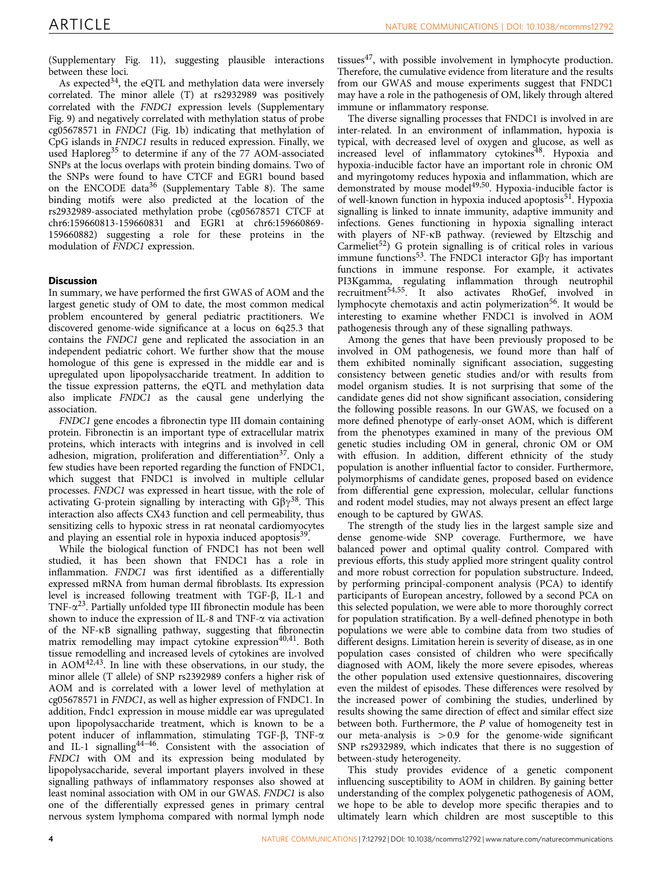(Supplementary Fig. 11), suggesting plausible interactions between these loci.

As expected<sup>[34](#page-5-0)</sup>, the eQTL and methylation data were inversely correlated. The minor allele (T) at rs2932989 was positively correlated with the FNDC1 expression levels (Supplementary Fig. 9) and negatively correlated with methylation status of probe cg05678571 in FNDC1 ([Fig. 1b\)](#page-2-0) indicating that methylation of CpG islands in FNDC1 results in reduced expression. Finally, we used Haploreg<sup>[35](#page-5-0)</sup> to determine if any of the 77 AOM-associated SNPs at the locus overlaps with protein binding domains. Two of the SNPs were found to have CTCF and EGR1 bound based on the ENCODE data $36$  (Supplementary Table 8). The same binding motifs were also predicted at the location of the rs2932989-associated methylation probe (cg05678571 CTCF at chr6:159660813-159660831 and EGR1 at chr6:159660869- 159660882) suggesting a role for these proteins in the modulation of FNDC1 expression.

#### **Discussion**

In summary, we have performed the first GWAS of AOM and the largest genetic study of OM to date, the most common medical problem encountered by general pediatric practitioners. We discovered genome-wide significance at a locus on 6q25.3 that contains the FNDC1 gene and replicated the association in an independent pediatric cohort. We further show that the mouse homologue of this gene is expressed in the middle ear and is upregulated upon lipopolysaccharide treatment. In addition to the tissue expression patterns, the eQTL and methylation data also implicate FNDC1 as the causal gene underlying the association.

FNDC1 gene encodes a fibronectin type III domain containing protein. Fibronectin is an important type of extracellular matrix proteins, which interacts with integrins and is involved in cell adhesion, migration, proliferation and differentiation<sup>[37](#page-5-0)</sup>. Only a few studies have been reported regarding the function of FNDC1, which suggest that FNDC1 is involved in multiple cellular processes. FNDC1 was expressed in heart tissue, with the role of activating G-protein signalling by interacting with  $G\beta\gamma^{38}$ . This interaction also affects CX43 function and cell permeability, thus sensitizing cells to hypoxic stress in rat neonatal cardiomyocytes and playing an essential role in hypoxia induced apoptosis<sup>[39](#page-5-0)</sup>.

While the biological function of FNDC1 has not been well studied, it has been shown that FNDC1 has a role in inflammation. FNDC1 was first identified as a differentially expressed mRNA from human dermal fibroblasts. Its expression level is increased following treatment with TGF- $\beta$ , IL-1 and TNF- $\alpha^{23}$  $\alpha^{23}$  $\alpha^{23}$ . Partially unfolded type III fibronectin module has been shown to induce the expression of IL-8 and TNF- $\alpha$  via activation of the NF-kB signalling pathway, suggesting that fibronectin matrix remodelling may impact cytokine expression<sup>40,41</sup>. Both tissue remodelling and increased levels of cytokines are involved in AOM[42,43](#page-5-0). In line with these observations, in our study, the minor allele (T allele) of SNP rs2392989 confers a higher risk of AOM and is correlated with a lower level of methylation at cg05678571 in FNDC1, as well as higher expression of FNDC1. In addition, Fndc1 expression in mouse middle ear was upregulated upon lipopolysaccharide treatment, which is known to be a potent inducer of inflammation, stimulating TGF- $\beta$ , TNF- $\alpha$ and IL-1 signalling<sup>44-46</sup>. Consistent with the association of FNDC1 with OM and its expression being modulated by lipopolysaccharide, several important players involved in these signalling pathways of inflammatory responses also showed at least nominal association with OM in our GWAS. FNDC1 is also one of the differentially expressed genes in primary central nervous system lymphoma compared with normal lymph node tissues $47$ , with possible involvement in lymphocyte production. Therefore, the cumulative evidence from literature and the results from our GWAS and mouse experiments suggest that FNDC1 may have a role in the pathogenesis of OM, likely through altered immune or inflammatory response.

The diverse signalling processes that FNDC1 is involved in are inter-related. In an environment of inflammation, hypoxia is typical, with decreased level of oxygen and glucose, as well as  $\overrightarrow{a}$  increased level of inflammatory cytokines<sup>[48](#page-5-0)</sup>. Hypoxia and hypoxia-inducible factor have an important role in chronic OM and myringotomy reduces hypoxia and inflammation, which are demonstrated by mouse model<sup>49,50</sup>. Hypoxia-inducible factor is of well-known function in hypoxia induced apoptosis<sup>51</sup>. Hypoxia signalling is linked to innate immunity, adaptive immunity and infections. Genes functioning in hypoxia signalling interact with players of NF-kB pathway. (reviewed by Eltzschig and Carmeliet<sup>52</sup>) G protein signalling is of critical roles in various immune functions<sup>[53](#page-5-0)</sup>. The FNDC1 interactor  $G\beta\gamma$  has important functions in immune response. For example, it activates PI3Kgamma, regulating inflammation through neutrophil rtoxyaninia, regularity in also activates RhoGef, involved in lymphocyte chemotaxis and actin polymerization<sup>[56](#page-5-0)</sup>. It would be interesting to examine whether FNDC1 is involved in AOM pathogenesis through any of these signalling pathways.

Among the genes that have been previously proposed to be involved in OM pathogenesis, we found more than half of them exhibited nominally significant association, suggesting consistency between genetic studies and/or with results from model organism studies. It is not surprising that some of the candidate genes did not show significant association, considering the following possible reasons. In our GWAS, we focused on a more defined phenotype of early-onset AOM, which is different from the phenotypes examined in many of the previous OM genetic studies including OM in general, chronic OM or OM with effusion. In addition, different ethnicity of the study population is another influential factor to consider. Furthermore, polymorphisms of candidate genes, proposed based on evidence from differential gene expression, molecular, cellular functions and rodent model studies, may not always present an effect large enough to be captured by GWAS.

The strength of the study lies in the largest sample size and dense genome-wide SNP coverage. Furthermore, we have balanced power and optimal quality control. Compared with previous efforts, this study applied more stringent quality control and more robust correction for population substructure. Indeed, by performing principal-component analysis (PCA) to identify participants of European ancestry, followed by a second PCA on this selected population, we were able to more thoroughly correct for population stratification. By a well-defined phenotype in both populations we were able to combine data from two studies of different designs. Limitation herein is severity of disease, as in one population cases consisted of children who were specifically diagnosed with AOM, likely the more severe episodes, whereas the other population used extensive questionnaires, discovering even the mildest of episodes. These differences were resolved by the increased power of combining the studies, underlined by results showing the same direction of effect and similar effect size between both. Furthermore, the P value of homogeneity test in our meta-analysis is  $>0.9$  for the genome-wide significant SNP rs2932989, which indicates that there is no suggestion of between-study heterogeneity.

This study provides evidence of a genetic component influencing susceptibility to AOM in children. By gaining better understanding of the complex polygenetic pathogenesis of AOM, we hope to be able to develop more specific therapies and to ultimately learn which children are most susceptible to this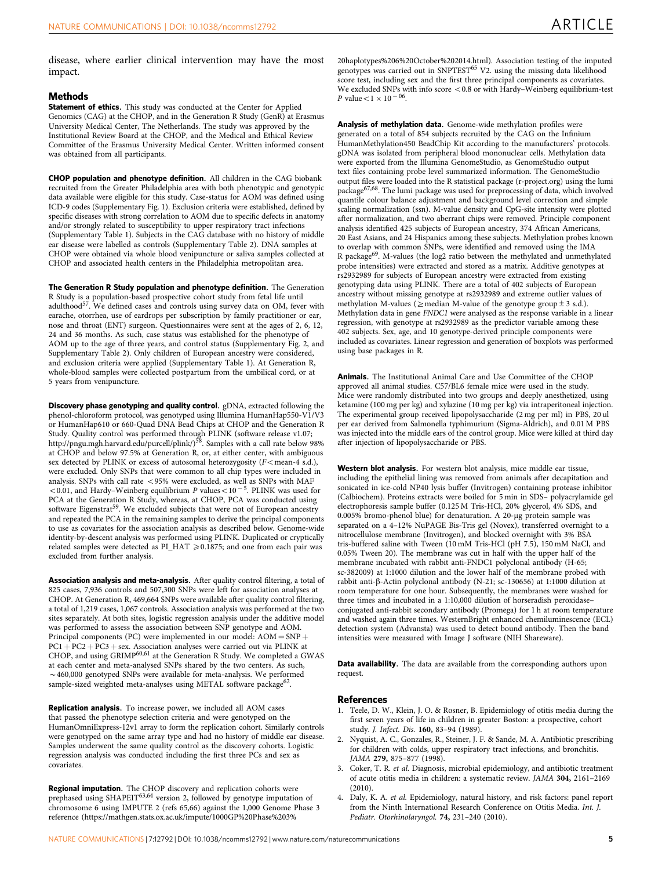<span id="page-4-0"></span>disease, where earlier clinical intervention may have the most impact.

#### Methods

Statement of ethics. This study was conducted at the Center for Applied Genomics (CAG) at the CHOP, and in the Generation R Study (GenR) at Erasmus University Medical Center, The Netherlands. The study was approved by the Institutional Review Board at the CHOP, and the Medical and Ethical Review Committee of the Erasmus University Medical Center. Written informed consent was obtained from all participants.

CHOP population and phenotype definition. All children in the CAG biobank recruited from the Greater Philadelphia area with both phenotypic and genotypic data available were eligible for this study. Case-status for AOM was defined using ICD-9 codes (Supplementary Fig. 1). Exclusion criteria were established, defined by specific diseases with strong correlation to AOM due to specific defects in anatomy and/or strongly related to susceptibility to upper respiratory tract infections (Supplementary Table 1). Subjects in the CAG database with no history of middle ear disease were labelled as controls (Supplementary Table 2). DNA samples at CHOP were obtained via whole blood venipuncture or saliva samples collected at CHOP and associated health centers in the Philadelphia metropolitan area.

The Generation R Study population and phenotype definition. The Generation R Study is a population-based prospective cohort study from fetal life until adulthood[57.](#page-5-0) We defined cases and controls using survey data on OM, fever with earache, otorrhea, use of eardrops per subscription by family practitioner or ear, nose and throat (ENT) surgeon. Questionnaires were sent at the ages of 2, 6, 12, 24 and 36 months. As such, case status was established for the phenotype of AOM up to the age of three years, and control status (Supplementary Fig. 2, and Supplementary Table 2). Only children of European ancestry were considered, and exclusion criteria were applied (Supplementary Table 1). At Generation R, whole-blood samples were collected postpartum from the umbilical cord, or at 5 years from venipuncture.

Discovery phase genotyping and quality control. gDNA, extracted following the phenol-chloroform protocol, was genotyped using Illumina HumanHap550-V1/V3 or HumanHap610 or 660-Quad DNA Bead Chips at CHOP and the Generation R Study. Quality control was performed through PLINK (software release v1.07; <http://pngu.mgh.harvard.edu/purcell/plink/>)[58.](#page-5-0) Samples with a call rate below 98% at CHOP and below 97.5% at Generation R, or, at either center, with ambiguous sex detected by PLINK or excess of autosomal heterozygosity ( $F$ <mean-4 s.d.), were excluded. Only SNPs that were common to all chip types were included in analysis. SNPs with call rate  $<$  95% were excluded, as well as SNPs with MAF <0.01, and Hardy–Weinberg equilibrium P values <  $10^{-5}$ . PLINK was used for PCA at the Generation R Study, whereas, at CHOP, PCA was conducted using software Eigenstrat<sup>59</sup>. We excluded subjects that were not of European ancestry and repeated the PCA in the remaining samples to derive the principal components to use as covariates for the association analysis as described below. Genome-wide identity-by-descent analysis was performed using PLINK. Duplicated or cryptically related samples were detected as  $PI\_HAT \geqslant 0.1875$ ; and one from each pair was excluded from further analysis.

Association analysis and meta-analysis. After quality control filtering, a total of 825 cases, 7,936 controls and 507,300 SNPs were left for association analyses at CHOP. At Generation R, 469,664 SNPs were available after quality control filtering, a total of 1,219 cases, 1,067 controls. Association analysis was performed at the two sites separately. At both sites, logistic regression analysis under the additive model was performed to assess the association between SNP genotype and AOM. Principal components (PC) were implemented in our model:  $AOM = SNP +$  $PC1 + PC2 + PC3 + sex.$  Association analyses were carried out via PLINK at CHOP, and using GRIMP<sup>[60,61](#page-5-0)</sup> at the Generation R Study. We completed a GWAS at each center and meta-analysed SNPs shared by the two centers. As such,  $\sim$  460,000 genotyped SNPs were available for meta-analysis. We performed sample-sized weighted meta-analyses using METAL software package<sup>62</sup>.

Replication analysis. To increase power, we included all AOM cases that passed the phenotype selection criteria and were genotyped on the HumanOmniExpress-12v1 array to form the replication cohort. Similarly controls were genotyped on the same array type and had no history of middle ear disease. Samples underwent the same quality control as the discovery cohorts. Logistic regression analysis was conducted including the first three PCs and sex as covariates.

Regional imputation. The CHOP discovery and replication cohorts were prephased using SHAPEIT<sup>[63,64](#page-5-0)</sup> version 2, followed by genotype imputation of chromosome 6 using IMPUTE 2 [\(refs 65,66\)](#page-6-0) against the 1,000 Genome Phase 3 reference ([https://mathgen.stats.ox.ac.uk/impute/1000GP%20Phase%203%](https://mathgen.stats.ox.ac.uk/impute/1000GP%20Phase%203%20haplotypes%206%20October%202014.html)

[20haplotypes%206%20October%202014.html](https://mathgen.stats.ox.ac.uk/impute/1000GP%20Phase%203%20haplotypes%206%20October%202014.html)). Association testing of the imputed genotypes was carried out in SNPTEST<sup>[65](#page-6-0)</sup> V2. using the missing data likelihood score test, including sex and the first three principal components as covariates. We excluded SNPs with info score  $<$  0.8 or with Hardy–Weinberg equilibrium-test *P* value  $< 1 \times 10^{-06}$ .

Analysis of methylation data. Genome-wide methylation profiles were generated on a total of 854 subjects recruited by the CAG on the Infinium HumanMethylation450 BeadChip Kit according to the manufacturers' protocols. gDNA was isolated from peripheral blood mononuclear cells. Methylation data were exported from the Illumina GenomeStudio, as GenomeStudio output text files containing probe level summarized information. The GenomeStudio output files were loaded into the R statistical package (r-project.org) using the lumi package[67,68](#page-6-0). The lumi package was used for preprocessing of data, which involved quantile colour balance adjustment and background level correction and simple scaling normalization (ssn). M-value density and CpG-site intensity were plotted after normalization, and two aberrant chips were removed. Principle component analysis identified 425 subjects of European ancestry, 374 African Americans, 20 East Asians, and 24 Hispanics among these subjects. Methylation probes known to overlap with common SNPs, were identified and removed using the IMA R package<sup>[69](#page-6-0)</sup>. M-values (the log2 ratio between the methylated and unmethylated probe intensities) were extracted and stored as a matrix. Additive genotypes at rs2932989 for subjects of European ancestry were extracted from existing genotyping data using PLINK. There are a total of 402 subjects of European ancestry without missing genotype at rs2932989 and extreme outlier values of methylation M-values ( $\geq$  median M-value of the genotype group  $\pm$  3 s.d.). Methylation data in gene FNDC1 were analysed as the response variable in a linear regression, with genotype at rs2932989 as the predictor variable among these 402 subjects. Sex, age, and 10 genotype-derived principle components were included as covariates. Linear regression and generation of boxplots was performed using base packages in R.

Animals. The Institutional Animal Care and Use Committee of the CHOP approved all animal studies. C57/BL6 female mice were used in the study. Mice were randomly distributed into two groups and deeply anesthetized, using ketamine (100 mg per kg) and xylazine (10 mg per kg) via intraperitoneal injection. The experimental group received lipopolysaccharide (2 mg per ml) in PBS, 20 ul per ear derived from Salmonella typhimurium (Sigma-Aldrich), and 0.01 M PBS was injected into the middle ears of the control group. Mice were killed at third day after injection of lipopolysaccharide or PBS.

Western blot analysis. For western blot analysis, mice middle ear tissue, including the epithelial lining was removed from animals after decapitation and sonicated in ice-cold NP40 lysis buffer (Invitrogen) containing protease inhibitor (Calbiochem). Proteins extracts were boiled for 5 min in SDS– polyacrylamide gel electrophoresis sample buffer (0.125 M Tris-HCl, 20% glycerol, 4% SDS, and 0.005% bromo-phenol blue) for denaturation. A 20-µg protein sample was separated on a 4-12% NuPAGE Bis-Tris gel (Novex), transferred overnight to a nitrocellulose membrane (Invitrogen), and blocked overnight with 3% BSA tris-buffered saline with Tween (10 mM Tris-HCl (pH 7.5), 150 mM NaCl, and 0.05% Tween 20). The membrane was cut in half with the upper half of the membrane incubated with rabbit anti-FNDC1 polyclonal antibody (H-65; sc-382009) at 1:1000 dilution and the lower half of the membrane probed with rabbit anti-b-Actin polyclonal antibody (N-21; sc-130656) at 1:1000 dilution at room temperature for one hour. Subsequently, the membranes were washed for three times and incubated in a 1:10,000 dilution of horseradish peroxidase– conjugated anti-rabbit secondary antibody (Promega) for 1 h at room temperature and washed again three times. WesternBright enhanced chemiluminescence (ECL) detection system (Advansta) was used to detect bound antibody. Then the band intensities were measured with Image J software (NIH Shareware).

Data availability. The data are available from the corresponding authors upon request.

#### References

- 1. Teele, D. W., Klein, J. O. & Rosner, B. Epidemiology of otitis media during the first seven years of life in children in greater Boston: a prospective, cohort study. J. Infect. Dis. 160, 83–94 (1989).
- 2. Nyquist, A. C., Gonzales, R., Steiner, J. F. & Sande, M. A. Antibiotic prescribing for children with colds, upper respiratory tract infections, and bronchitis. JAMA 279, 875-877 (1998).
- 3. Coker, T. R. et al. Diagnosis, microbial epidemiology, and antibiotic treatment of acute otitis media in children: a systematic review. JAMA 304, 2161–2169  $(2010)$
- 4. Daly, K. A. et al. Epidemiology, natural history, and risk factors: panel report from the Ninth International Research Conference on Otitis Media. Int. J. Pediatr. Otorhinolaryngol. 74, 231–240 (2010).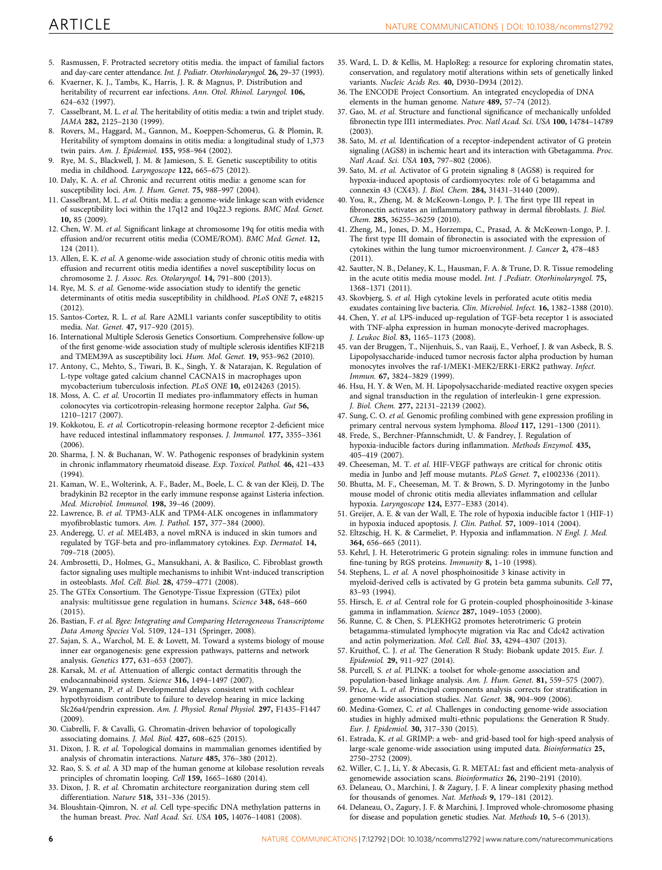- <span id="page-5-0"></span>5. Rasmussen, F. Protracted secretory otitis media. the impact of familial factors and day-care center attendance. Int. J. Pediatr. Otorhinolaryngol. 26, 29–37 (1993).
- 6. Kvaerner, K. J., Tambs, K., Harris, J. R. & Magnus, P. Distribution and heritability of recurrent ear infections. Ann. Otol. Rhinol. Laryngol. 106, 624–632 (1997).
- 7. Casselbrant, M. L. et al. The heritability of otitis media: a twin and triplet study. JAMA 282, 2125–2130 (1999).
- 8. Rovers, M., Haggard, M., Gannon, M., Koeppen-Schomerus, G. & Plomin, R. Heritability of symptom domains in otitis media: a longitudinal study of 1,373 twin pairs. Am. J. Epidemiol. 155, 958–964 (2002).
- 9. Rye, M. S., Blackwell, J. M. & Jamieson, S. E. Genetic susceptibility to otitis media in childhood. Laryngoscope 122, 665–675 (2012).
- 10. Daly, K. A. et al. Chronic and recurrent otitis media: a genome scan for susceptibility loci. Am. J. Hum. Genet. 75, 988–997 (2004).
- 11. Casselbrant, M. L. et al. Otitis media: a genome-wide linkage scan with evidence of susceptibility loci within the 17q12 and 10q22.3 regions. BMC Med. Genet. 10, 85 (2009).
- 12. Chen, W. M. et al. Significant linkage at chromosome 19q for otitis media with effusion and/or recurrent otitis media (COME/ROM). BMC Med. Genet. 12, 124 (2011).
- 13. Allen, E. K. et al. A genome-wide association study of chronic otitis media with effusion and recurrent otitis media identifies a novel susceptibility locus on chromosome 2. J. Assoc. Res. Otolaryngol. 14, 791–800 (2013).
- 14. Rye, M. S. et al. Genome-wide association study to identify the genetic determinants of otitis media susceptibility in childhood. PLoS ONE 7, e48215 (2012).
- 15. Santos-Cortez, R. L. et al. Rare A2ML1 variants confer susceptibility to otitis media. Nat. Genet. 47, 917–920 (2015).
- 16. International Multiple Sclerosis Genetics Consortium. Comprehensive follow-up of the first genome-wide association study of multiple sclerosis identifies KIF21B and TMEM39A as susceptibility loci. Hum. Mol. Genet. 19, 953–962 (2010).
- 17. Antony, C., Mehto, S., Tiwari, B. K., Singh, Y. & Natarajan, K. Regulation of L-type voltage gated calcium channel CACNA1S in macrophages upon mycobacterium tuberculosis infection. PLoS ONE 10, e0124263 (2015).
- 18. Moss, A. C. et al. Urocortin II mediates pro-inflammatory effects in human colonocytes via corticotropin-releasing hormone receptor 2alpha. Gut 56, 1210–1217 (2007).
- 19. Kokkotou, E. et al. Corticotropin-releasing hormone receptor 2-deficient mice have reduced intestinal inflammatory responses. J. Immunol. 177, 3355–3361  $(2006)$
- 20. Sharma, J. N. & Buchanan, W. W. Pathogenic responses of bradykinin system in chronic inflammatory rheumatoid disease. Exp. Toxicol. Pathol. 46, 421–433 (1994).
- 21. Kaman, W. E., Wolterink, A. F., Bader, M., Boele, L. C. & van der Kleij, D. The bradykinin B2 receptor in the early immune response against Listeria infection. Med. Microbiol. Immunol. 198, 39–46 (2009).
- 22. Lawrence, B. et al. TPM3-ALK and TPM4-ALK oncogenes in inflammatory myofibroblastic tumors. Am. J. Pathol. 157, 377–384 (2000).
- 23. Anderegg, U. et al. MEL4B3, a novel mRNA is induced in skin tumors and regulated by TGF-beta and pro-inflammatory cytokines. Exp. Dermatol. 14, 709–718 (2005).
- 24. Ambrosetti, D., Holmes, G., Mansukhani, A. & Basilico, C. Fibroblast growth factor signaling uses multiple mechanisms to inhibit Wnt-induced transcription in osteoblasts. Mol. Cell. Biol. 28, 4759–4771 (2008).
- 25. The GTEx Consortium. The Genotype-Tissue Expression (GTEx) pilot analysis: multitissue gene regulation in humans. Science 348, 648–660 (2015).
- 26. Bastian, F. et al. Bgee: Integrating and Comparing Heterogeneous Transcriptome Data Among Species Vol. 5109, 124–131 (Springer, 2008).
- 27. Sajan, S. A., Warchol, M. E. & Lovett, M. Toward a systems biology of mouse inner ear organogenesis: gene expression pathways, patterns and network analysis. Genetics 177, 631–653 (2007).
- 28. Karsak, M. et al. Attenuation of allergic contact dermatitis through the endocannabinoid system. Science 316, 1494–1497 (2007).
- 29. Wangemann, P. et al. Developmental delays consistent with cochlear hypothyroidism contribute to failure to develop hearing in mice lacking Slc26a4/pendrin expression. Am. J. Physiol. Renal Physiol. 297, F1435–F1447 (2009).
- 30. Ciabrelli, F. & Cavalli, G. Chromatin-driven behavior of topologically associating domains. J. Mol. Biol. 427, 608–625 (2015).
- 31. Dixon, J. R. et al. Topological domains in mammalian genomes identified by analysis of chromatin interactions. Nature 485, 376–380 (2012).
- 32. Rao, S. S. et al. A 3D map of the human genome at kilobase resolution reveals principles of chromatin looping. Cell 159, 1665–1680 (2014).
- 33. Dixon, J. R. et al. Chromatin architecture reorganization during stem cell differentiation. Nature 518, 331–336 (2015).
- 34. Bloushtain-Qimron, N. et al. Cell type-specific DNA methylation patterns in the human breast. Proc. Natl Acad. Sci. USA 105, 14076–14081 (2008).
- 35. Ward, L. D. & Kellis, M. HaploReg: a resource for exploring chromatin states, conservation, and regulatory motif alterations within sets of genetically linked variants. Nucleic Acids Res. 40, D930–D934 (2012).
- 36. The ENCODE Project Consortium. An integrated encyclopedia of DNA elements in the human genome. Nature 489, 57–74 (2012).
- 37. Gao, M. et al. Structure and functional significance of mechanically unfolded fibronectin type III1 intermediates. Proc. Natl Acad. Sci. USA 100, 14784–14789  $(2003)$
- 38. Sato, M. et al. Identification of a receptor-independent activator of G protein signaling (AGS8) in ischemic heart and its interaction with Gbetagamma. Proc. Natl Acad. Sci. USA 103, 797–802 (2006).
- 39. Sato, M. et al. Activator of G protein signaling 8 (AGS8) is required for hypoxia-induced apoptosis of cardiomyocytes: role of G betagamma and connexin 43 (CX43). J. Biol. Chem. 284, 31431–31440 (2009).
- 40. You, R., Zheng, M. & McKeown-Longo, P. J. The first type III repeat in fibronectin activates an inflammatory pathway in dermal fibroblasts. J. Biol. Chem. 285, 36255–36259 (2010).
- 41. Zheng, M., Jones, D. M., Horzempa, C., Prasad, A. & McKeown-Longo, P. J. The first type III domain of fibronectin is associated with the expression of cytokines within the lung tumor microenvironment. J. Cancer 2, 478–483 (2011).
- 42. Sautter, N. B., Delaney, K. L., Hausman, F. A. & Trune, D. R. Tissue remodeling in the acute otitis media mouse model. Int. J .Pediatr. Otorhinolaryngol. 75, 1368–1371 (2011).
- 43. Skovbjerg, S. et al. High cytokine levels in perforated acute otitis media exudates containing live bacteria. Clin. Microbiol. Infect. 16, 1382–1388 (2010).
- 44. Chen, Y. et al. LPS-induced up-regulation of TGF-beta receptor 1 is associated with TNF-alpha expression in human monocyte-derived macrophages. J. Leukoc Biol. 83, 1165–1173 (2008).
- 45. van der Bruggen, T., Nijenhuis, S., van Raaij, E., Verhoef, J. & van Asbeck, B. S. Lipopolysaccharide-induced tumor necrosis factor alpha production by human monocytes involves the raf-1/MEK1-MEK2/ERK1-ERK2 pathway. Infect. Immun. 67, 3824–3829 (1999).
- 46. Hsu, H. Y. & Wen, M. H. Lipopolysaccharide-mediated reactive oxygen species and signal transduction in the regulation of interleukin-1 gene expression. J. Biol. Chem. 277, 22131–22139 (2002).
- 47. Sung, C. O. et al. Genomic profiling combined with gene expression profiling in primary central nervous system lymphoma. Blood 117, 1291–1300 (2011).
- 48. Frede, S., Berchner-Pfannschmidt, U. & Fandrey, J. Regulation of hypoxia-inducible factors during inflammation. Methods Enzymol. 435, 405–419 (2007).
- 49. Cheeseman, M. T. et al. HIF-VEGF pathways are critical for chronic otitis media in Junbo and Jeff mouse mutants. PLoS Genet. 7, e1002336 (2011).
- 50. Bhutta, M. F., Cheeseman, M. T. & Brown, S. D. Myringotomy in the Junbo mouse model of chronic otitis media alleviates inflammation and cellular hypoxia. Laryngoscope 124, E377–E383 (2014).
- 51. Greijer, A. E. & van der Wall, E. The role of hypoxia inducible factor 1 (HIF-1) in hypoxia induced apoptosis. J. Clin. Pathol. 57, 1009–1014 (2004).
- 52. Eltzschig, H. K. & Carmeliet, P. Hypoxia and inflammation. N Engl. J. Med. 364, 656–665 (2011).
- 53. Kehrl, J. H. Heterotrimeric G protein signaling: roles in immune function and fine-tuning by RGS proteins. Immunity 8, 1-10 (1998).
- 54. Stephens, L. et al. A novel phosphoinositide 3 kinase activity in myeloid-derived cells is activated by G protein beta gamma subunits. Cell 77, 83–93 (1994).
- 55. Hirsch, E. et al. Central role for G protein-coupled phosphoinositide 3-kinase gamma in inflammation. Science 287, 1049–1053 (2000).
- 56. Runne, C. & Chen, S. PLEKHG2 promotes heterotrimeric G protein betagamma-stimulated lymphocyte migration via Rac and Cdc42 activation and actin polymerization. Mol. Cell. Biol. 33, 4294–4307 (2013).
- 57. Kruithof, C. J. et al. The Generation R Study: Biobank update 2015. Eur. J. Epidemiol. 29, 911–927 (2014).
- 58. Purcell, S. et al. PLINK: a toolset for whole-genome association and population-based linkage analysis. Am. J. Hum. Genet. 81, 559–575 (2007).
- 59. Price, A. L. et al. Principal components analysis corrects for stratification in genome-wide association studies. Nat. Genet. 38, 904–909 (2006).
- 60. Medina-Gomez, C. et al. Challenges in conducting genome-wide association studies in highly admixed multi-ethnic populations: the Generation R Study. Eur. J. Epidemiol. 30, 317–330 (2015).
- 61. Estrada, K. et al. GRIMP: a web- and grid-based tool for high-speed analysis of large-scale genome-wide association using imputed data. Bioinformatics 25, 2750–2752 (2009).
- 62. Willer, C. J., Li, Y. & Abecasis, G. R. METAL: fast and efficient meta-analysis of genomewide association scans. Bioinformatics 26, 2190–2191 (2010).
- 63. Delaneau, O., Marchini, J. & Zagury, J. F. A linear complexity phasing method for thousands of genomes. Nat. Methods 9, 179–181 (2012).
- 64. Delaneau, O., Zagury, J. F. & Marchini, J. Improved whole-chromosome phasing for disease and population genetic studies. Nat. Methods 10, 5–6 (2013).